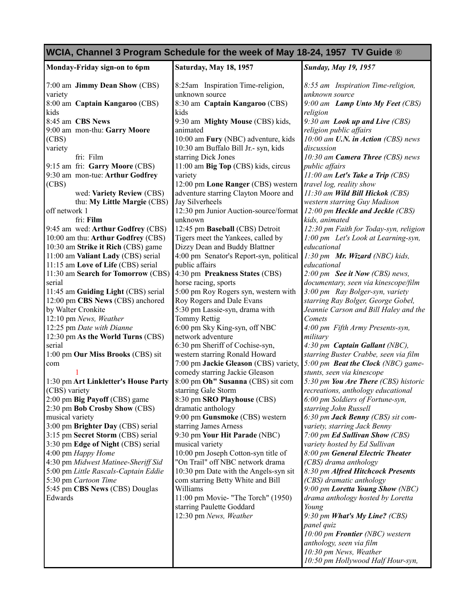| WCIA, Channel 3 Program Schedule for the week of May 18-24, 1957 TV Guide ® |                                                            |                                                           |
|-----------------------------------------------------------------------------|------------------------------------------------------------|-----------------------------------------------------------|
| Monday-Friday sign-on to 6pm                                                | Saturday, May 18, 1957                                     | <b>Sunday, May 19, 1957</b>                               |
| 7:00 am Jimmy Dean Show (CBS)                                               | 8:25am Inspiration Time-religion,                          | 8:55 am Inspiration Time-religion,                        |
| variety                                                                     | unknown source                                             | unknown source                                            |
| 8:00 am Captain Kangaroo (CBS)                                              | 8:30 am Captain Kangaroo (CBS)                             | 9:00 am Lamp Unto My Feet (CBS)                           |
| kids                                                                        | kids                                                       | religion                                                  |
| 8:45 am CBS News                                                            | 9:30 am Mighty Mouse (CBS) kids,                           | 9:30 am Look up and Live (CBS)                            |
| 9:00 am mon-thu: Garry Moore                                                | animated                                                   | religion public affairs                                   |
| (CBS)                                                                       | 10:00 am Fury (NBC) adventure, kids                        | 10:00 am U.N. in Action (CBS) news                        |
| variety<br>fri: Film                                                        | 10:30 am Buffalo Bill Jr.- syn, kids                       | discussion<br>10:30 am Camera Three (CBS) news            |
| 9:15 am fri: Garry Moore (CBS)                                              | starring Dick Jones<br>11:00 am Big Top (CBS) kids, circus | public affairs                                            |
| 9:30 am mon-tue: Arthur Godfrey                                             | variety                                                    | $11:00$ am Let's Take a Trip (CBS)                        |
| (CBS)                                                                       | 12:00 pm Lone Ranger (CBS) western                         | travel log, reality show                                  |
| wed: Variety Review (CBS)                                                   | adventure starring Clayton Moore and                       | 11:30 am Wild Bill Hickok (CBS)                           |
| thu: My Little Margie (CBS)                                                 | Jay Silverheels                                            | western starring Guy Madison                              |
| off network 1                                                               | 12:30 pm Junior Auction-source/format                      | 12:00 pm Heckle and Jeckle (CBS)                          |
| fri: Film                                                                   | unknown                                                    | kids, animated                                            |
| 9:45 am wed: Arthur Godfrey (CBS)                                           | 12:45 pm Baseball (CBS) Detroit                            | 12:30 pm Faith for Today-syn, religion                    |
| 10:00 am thu: Arthur Godfrey (CBS)                                          | Tigers meet the Yankees, called by                         | 1:00 pm Let's Look at Learning-syn,                       |
| 10:30 am Strike it Rich (CBS) game                                          | Dizzy Dean and Buddy Blattner                              | educational                                               |
| 11:00 am Valiant Lady (CBS) serial                                          | 4:00 pm Senator's Report-syn, political                    | 1:30 pm Mr. Wizard (NBC) kids,                            |
| 11:15 am Love of Life (CBS) serial                                          | public affairs                                             | educational                                               |
| 11:30 am Search for Tomorrow (CBS)                                          | 4:30 pm Preakness States (CBS)                             | $2:00 \, \text{pm}$ See it Now (CBS) news,                |
| serial                                                                      | horse racing, sports                                       | documentary, seen via kinescope/film                      |
| 11:45 am Guiding Light (CBS) serial                                         | 5:00 pm Roy Rogers syn, western with                       | 3:00 pm Ray Bolger-syn, variety                           |
| 12:00 pm CBS News (CBS) anchored                                            | Roy Rogers and Dale Evans                                  | starring Ray Bolger, George Gobel,                        |
| by Walter Cronkite                                                          | 5:30 pm Lassie-syn, drama with                             | Jeannie Carson and Bill Haley and the                     |
| 12:10 pm News, Weather                                                      | Tommy Rettig                                               | Comets                                                    |
| 12:25 pm Date with Dianne                                                   | 6:00 pm Sky King-syn, off NBC                              | 4:00 pm Fifth Army Presents-syn,                          |
| 12:30 pm As the World Turns (CBS)                                           | network adventure                                          | military                                                  |
| serial                                                                      | 6:30 pm Sheriff of Cochise-syn,                            | 4:30 pm Captain Gallant (NBC),                            |
| 1:00 pm Our Miss Brooks (CBS) sit                                           | western starring Ronald Howard                             | starring Buster Crabbe, seen via film                     |
| com                                                                         | 7:00 pm Jackie Gleason (CBS) variety,                      | 5:00 pm <b>Beat the Clock</b> (NBC) game-                 |
|                                                                             | comedy starring Jackie Gleason                             | stunts, seen via kinescope                                |
| 1:30 pm Art Linkletter's House Party                                        | 8:00 pm Oh" Susanna (CBS) sit com                          | 5:30 pm You Are There (CBS) historic                      |
| (CBS) variety                                                               | starring Gale Storm<br>8:30 pm SRO Playhouse (CBS)         | recreations, anthology educational                        |
| 2:00 pm Big Payoff (CBS) game<br>2:30 pm Bob Crosby Show (CBS)              | dramatic anthology                                         | 6:00 pm Soldiers of Fortune-syn,<br>starring John Russell |
| musical variety                                                             | 9:00 pm Gunsmoke (CBS) western                             | 6:30 pm Jack Benny (CBS) sit com-                         |
| 3:00 pm Brighter Day (CBS) serial                                           | starring James Arness                                      | variety, starring Jack Benny                              |
| 3:15 pm Secret Storm (CBS) serial                                           | 9:30 pm Your Hit Parade (NBC)                              | 7:00 pm Ed Sullivan Show (CBS)                            |
| 3:30 pm Edge of Night (CBS) serial                                          | musical variety                                            | variety hosted by Ed Sullivan                             |
| 4:00 pm Happy Home                                                          | 10:00 pm Joseph Cotton-syn title of                        | 8:00 pm General Electric Theater                          |
| 4:30 pm Midwest Matinee-Sheriff Sid                                         | "On Trail" off NBC network drama                           | (CBS) drama anthology                                     |
| 5:00 pm Little Rascals-Captain Eddie                                        | 10:30 pm Date with the Angels-syn sit                      | 8:30 pm Alfred Hitchcock Presents                         |
| 5:30 pm Cartoon Time                                                        | com starring Betty White and Bill                          | (CBS) dramatic anthology                                  |
| 5:45 pm CBS News (CBS) Douglas                                              | Williams                                                   | 9:00 pm Loretta Young Show (NBC)                          |
| Edwards                                                                     | 11:00 pm Movie- "The Torch" (1950)                         | drama anthology hosted by Loretta                         |
|                                                                             | starring Paulette Goddard                                  | Young                                                     |
|                                                                             | 12:30 pm News, Weather                                     | 9:30 pm What's My Line? (CBS)                             |
|                                                                             |                                                            | panel quiz                                                |
|                                                                             |                                                            | 10:00 pm Frontier (NBC) western                           |
|                                                                             |                                                            | anthology, seen via film                                  |
|                                                                             |                                                            | 10:30 pm News, Weather                                    |
|                                                                             |                                                            | 10:50 pm Hollywood Half Hour-syn,                         |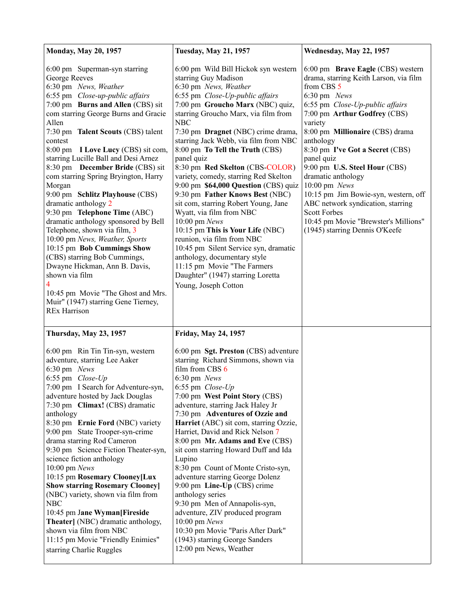| <b>Monday, May 20, 1957</b>                                                                                                                                                                                                                                                                                                                                                                                                                                                                                                                                                                                                                                                                                                                                                                                                                     | <b>Tuesday, May 21, 1957</b>                                                                                                                                                                                                                                                                                                                                                                                                                                                                                                                                                                                                                                                                                                                                                                                                          | Wednesday, May 22, 1957                                                                                                                                                                                                                                                                                                                                                                                                                                                                                                                            |
|-------------------------------------------------------------------------------------------------------------------------------------------------------------------------------------------------------------------------------------------------------------------------------------------------------------------------------------------------------------------------------------------------------------------------------------------------------------------------------------------------------------------------------------------------------------------------------------------------------------------------------------------------------------------------------------------------------------------------------------------------------------------------------------------------------------------------------------------------|---------------------------------------------------------------------------------------------------------------------------------------------------------------------------------------------------------------------------------------------------------------------------------------------------------------------------------------------------------------------------------------------------------------------------------------------------------------------------------------------------------------------------------------------------------------------------------------------------------------------------------------------------------------------------------------------------------------------------------------------------------------------------------------------------------------------------------------|----------------------------------------------------------------------------------------------------------------------------------------------------------------------------------------------------------------------------------------------------------------------------------------------------------------------------------------------------------------------------------------------------------------------------------------------------------------------------------------------------------------------------------------------------|
| 6:00 pm Superman-syn starring<br>George Reeves<br>6:30 pm News, Weather<br>6:55 pm Close-up-public affairs<br>7:00 pm Burns and Allen (CBS) sit<br>com starring George Burns and Gracie<br>Allen<br>7:30 pm Talent Scouts (CBS) talent<br>contest<br>8:00 pm I Love Lucy (CBS) sit com,<br>starring Lucille Ball and Desi Arnez<br>8:30 pm December Bride (CBS) sit<br>com starring Spring Bryington, Harry<br>Morgan<br>9:00 pm Schlitz Playhouse (CBS)<br>dramatic anthology 2<br>9:30 pm Telephone Time (ABC)<br>dramatic anthology sponsored by Bell<br>Telephone, shown via film, 3<br>10:00 pm News, Weather, Sports<br>10:15 pm Bob Cummings Show<br>(CBS) starring Bob Cummings,<br>Dwayne Hickman, Ann B. Davis,<br>shown via film<br>10:45 pm Movie "The Ghost and Mrs.<br>Muir" (1947) starring Gene Tierney,<br><b>REx Harrison</b> | 6:00 pm Wild Bill Hickok syn western<br>starring Guy Madison<br>6:30 pm News, Weather<br>6:55 pm Close-Up-public affairs<br>7:00 pm Groucho Marx (NBC) quiz,<br>starring Groucho Marx, via film from<br><b>NBC</b><br>7:30 pm Dragnet (NBC) crime drama,<br>starring Jack Webb, via film from NBC<br>8:00 pm To Tell the Truth (CBS)<br>panel quiz<br>8:30 pm Red Skelton (CBS-COLOR)<br>variety, comedy, starring Red Skelton<br>9:00 pm \$64,000 Question (CBS) quiz<br>9:30 pm Father Knows Best (NBC)<br>sit com, starring Robert Young, Jane<br>Wyatt, via film from NBC<br>10:00 pm News<br>10:15 pm This is Your Life (NBC)<br>reunion, via film from NBC<br>10:45 pm Silent Service syn, dramatic<br>anthology, documentary style<br>11:15 pm Movie "The Farmers<br>Daughter" (1947) starring Loretta<br>Young, Joseph Cotton | 6:00 pm Brave Eagle (CBS) western<br>drama, starring Keith Larson, via film<br>from CBS 5<br>6:30 pm News<br>6:55 pm Close-Up-public affairs<br>7:00 pm Arthur Godfrey (CBS)<br>variety<br>8:00 pm Millionaire (CBS) drama<br>anthology<br>8:30 pm I've Got a Secret (CBS)<br>panel quiz<br>9:00 pm U.S. Steel Hour (CBS)<br>dramatic anthology<br>$10:00$ pm $News$<br>10:15 pm Jim Bowie-syn, western, off<br>ABC network syndication, starring<br><b>Scott Forbes</b><br>10:45 pm Movie "Brewster's Millions"<br>(1945) starring Dennis O'Keefe |
| <b>Thursday, May 23, 1957</b><br>6:00 pm Rin Tin Tin-syn, western<br>adventure, starring Lee Aaker<br>6:30 pm News<br>6:55 pm Close-Up<br>7:00 pm I Search for Adventure-syn,<br>adventure hosted by Jack Douglas<br>7:30 pm Climax! (CBS) dramatic<br>anthology<br>8:30 pm Ernie Ford (NBC) variety<br>9:00 pm State Trooper-syn-crime<br>drama starring Rod Cameron<br>9:30 pm Science Fiction Theater-syn,<br>science fiction anthology<br>10:00 pm News<br>10:15 pm Rosemary Clooney[Lux<br><b>Show starring Rosemary Clooney]</b><br>(NBC) variety, shown via film from<br>NBC<br>10:45 pm Jane Wyman[Fireside<br>Theater] (NBC) dramatic anthology,<br>shown via film from NBC<br>11:15 pm Movie "Friendly Enimies"<br>starring Charlie Ruggles                                                                                           | <b>Friday, May 24, 1957</b><br>6:00 pm Sgt. Preston (CBS) adventure<br>starring Richard Simmons, shown via<br>film from CBS 6<br>6:30 pm News<br>$6:55$ pm $Close$ - $Up$<br>7:00 pm West Point Story (CBS)<br>adventure, starring Jack Haley Jr<br>7:30 pm Adventures of Ozzie and<br>Harriet (ABC) sit com, starring Ozzie,<br>Harriet, David and Rick Nelson 7<br>8:00 pm Mr. Adams and Eve (CBS)<br>sit com starring Howard Duff and Ida<br>Lupino<br>8:30 pm Count of Monte Cristo-syn,<br>adventure starring George Dolenz<br>9:00 pm Line-Up (CBS) crime<br>anthology series<br>9:30 pm Men of Annapolis-syn,<br>adventure, ZIV produced program<br>10:00 pm News<br>10:30 pm Movie "Paris After Dark"<br>(1943) starring George Sanders<br>12:00 pm News, Weather                                                             |                                                                                                                                                                                                                                                                                                                                                                                                                                                                                                                                                    |